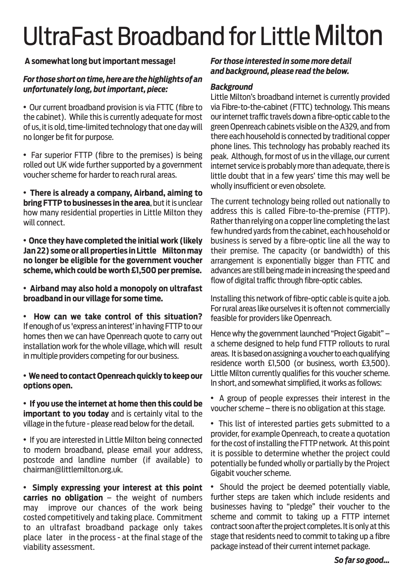# UltraFast Broadband for Little Milton

# **A somewhat long but important message!**

## *For those short on time, here are the highlights of an unfortunately long, but important, piece:*

• Our current broadband provision is via FTTC (fibre to the cabinet). While this is currently adequate for most of us, it is old, time-limited technology that one day will no longer be fit for purpose.

• Far superior FTTP (fibre to the premises) is being rolled out UK wide further supported by a government voucher scheme for harder to reach rural areas.

• **There is already a company, Airband, aiming to bring FTTP to businesses in the area**, but it is unclear how many residential properties in Little Milton they will connect.

• **Once they have completed the initial work (likely Jan 22) some or all properties in Little Milton may no longer be eligible for the government voucher scheme, which could be worth £1,500 per premise.**

• **Airband may also hold a monopoly on ultrafast broadband in our village for some time.**

• **How can we take control of this situation?** If enough of us 'express an interest' in having FTTP to our homes then we can have Openreach quote to carry out installation work for the whole village, which will result in multiple providers competing for our business.

• **Weneedto contactOpenreachquickly to keepour options open.**

• **If you use the internet at home then this could be important to you today** and is certainly vital to the village in the future - please read below for the detail.

• If you are interested in Little Milton being connected to modern broadband, please email your address, postcode and landline number (if available) to chairman@littlemilton.org.uk.

• **Simply expressing your interest at this point carries no obligation** – the weight of numbers may improve our chances of the work being costed competitively and taking place. Commitment to an ultrafast broadband package only takes place later in the process - at the final stage of the viability assessment.

*For those interested in some more detail and background, please read the below.*

## *Background*

Little Milton's broadband internet is currently provided via Fibre-to-the-cabinet (FTTC) technology. This means our internet traffic travels down a fibre-optic cable to the green Openreach cabinets visible on the A329, and from there each household is connected by traditional copper phone lines. This technology has probably reached its peak. Although, for most of us in the village, our current internet service is probably more than adequate, there is little doubt that in a few years' time this may well be wholly insufficient or even obsolete.

The current technology being rolled out nationally to address this is called Fibre-to-the-premise (FTTP). Rather than relying on a copper line completing the last few hundred yards from the cabinet, each household or business is served by a fibre-optic line all the way to their premise. The capacity (or bandwidth) of this arrangement is exponentially bigger than FTTC and advances are still being made in increasing the speed and flow of digital traffic through fibre-optic cables.

Installing this network of fibre-optic cable is quite a job. For rural areas like ourselves it is often not commercially feasible for providers like Openreach.

Hence why the government launched "Project Gigabit" a scheme designed to help fund FTTP rollouts to rural areas. It is based on assigning a voucher to each qualifying residence worth £1,500 (or business, worth £3,500). Little Milton currently qualifies for this voucher scheme. In short, and somewhat simplified, it works as follows:

• A group of people expresses their interest in the voucher scheme  $-$  there is no obligation at this stage.

• This list of interested parties gets submitted to a provider, for example Openreach, to create a quotation for the cost of installing the FTTP network. At this point it is possible to determine whether the project could potentially be funded wholly or partially by the Project Gigabit voucher scheme.

• Should the project be deemed potentially viable, further steps are taken which include residents and businesses having to "pledge" their voucher to the scheme and commit to taking up a FTTP internet contract soon after the project completes. It is only at this stage that residents need to commit to taking up a fibre package instead of their current internet package.